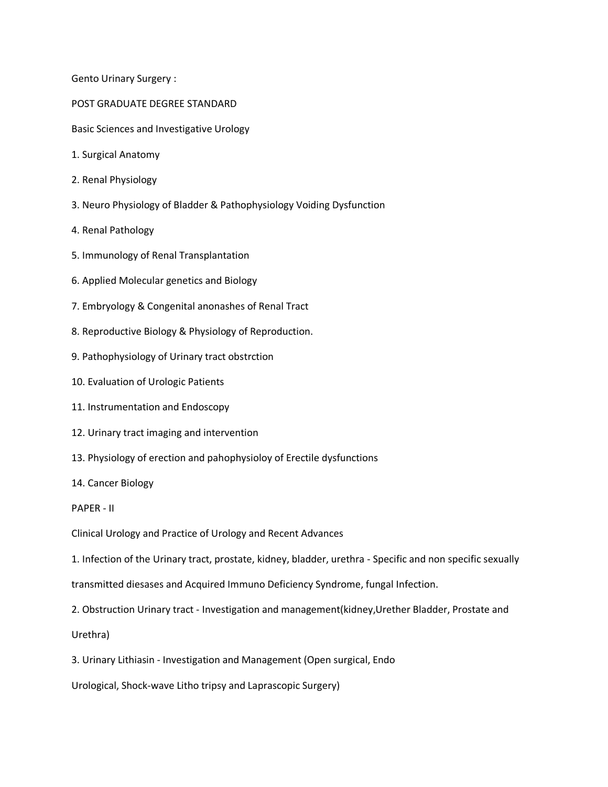Gento Urinary Surgery :

POST GRADUATE DEGREE STANDARD

Basic Sciences and Investigative Urology

- 1. Surgical Anatomy
- 2. Renal Physiology
- 3. Neuro Physiology of Bladder & Pathophysiology Voiding Dysfunction
- 4. Renal Pathology
- 5. Immunology of Renal Transplantation
- 6. Applied Molecular genetics and Biology
- 7. Embryology & Congenital anonashes of Renal Tract
- 8. Reproductive Biology & Physiology of Reproduction.
- 9. Pathophysiology of Urinary tract obstrction
- 10. Evaluation of Urologic Patients
- 11. Instrumentation and Endoscopy
- 12. Urinary tract imaging and intervention
- 13. Physiology of erection and pahophysioloy of Erectile dysfunctions
- 14. Cancer Biology

PAPER - II

Clinical Urology and Practice of Urology and Recent Advances

1. Infection of the Urinary tract, prostate, kidney, bladder, urethra - Specific and non specific sexually

transmitted diesases and Acquired Immuno Deficiency Syndrome, fungal Infection.

2. Obstruction Urinary tract - Investigation and management(kidney,Urether Bladder, Prostate and

Urethra)

3. Urinary Lithiasin - Investigation and Management (Open surgical, Endo

Urological, Shock-wave Litho tripsy and Laprascopic Surgery)